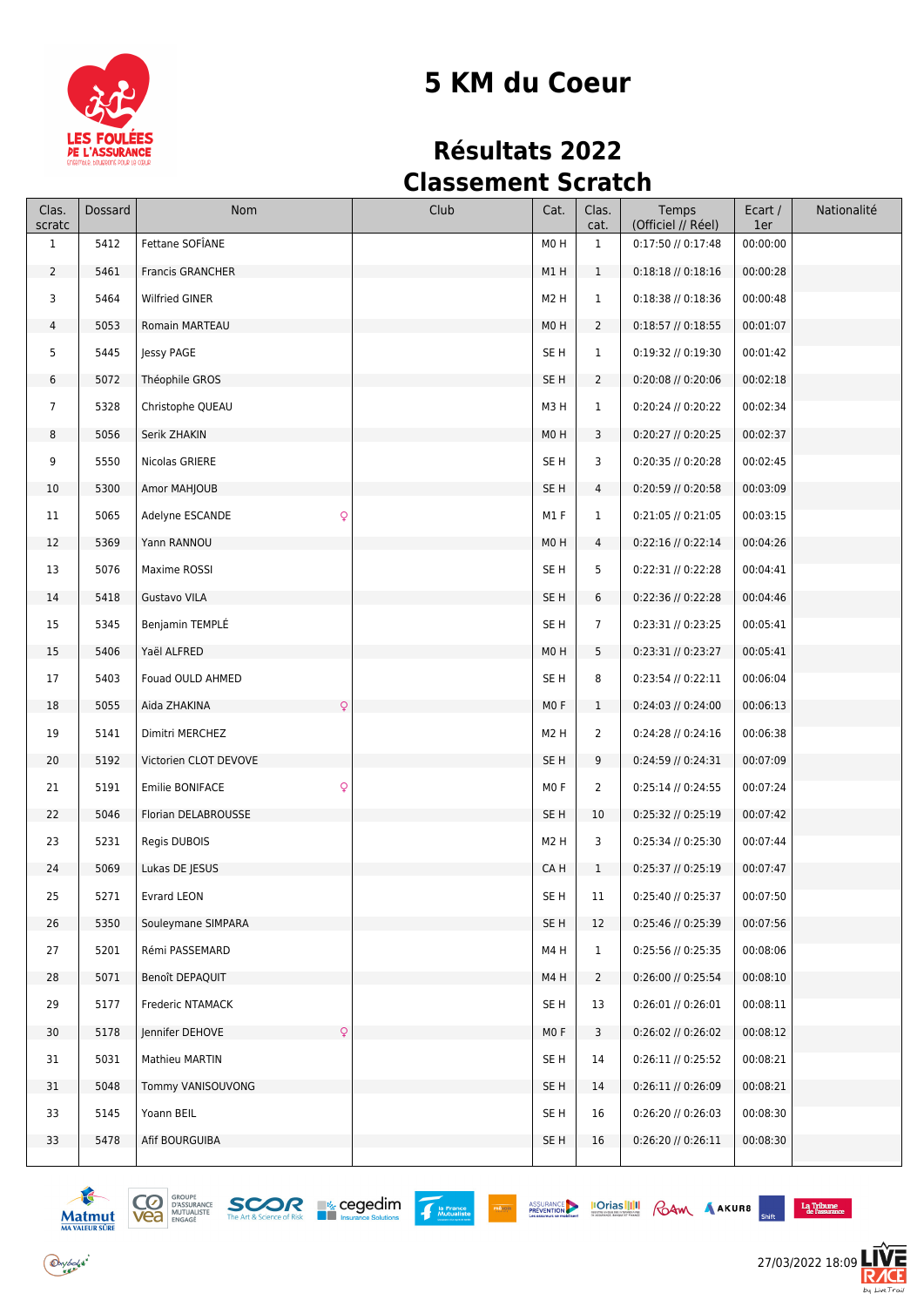

# **5 KM du Coeur**

# **Résultats 2022 Classement Scratch**

| Clas.<br>scratc | Dossard | Nom                          | Club | Cat.             | Clas.<br>cat.  | Temps<br>(Officiel // Réel) | Ecart /<br>1er | Nationalité |
|-----------------|---------|------------------------------|------|------------------|----------------|-----------------------------|----------------|-------------|
| $\mathbf{1}$    | 5412    | Fettane SOFÎANE              |      | M0H              | $\mathbf{1}$   | 0:17:50 // 0:17:48          | 00:00:00       |             |
| $2^{\circ}$     | 5461    | <b>Francis GRANCHER</b>      |      | M1H              | $\mathbf{1}$   | $0:18:18$ // $0:18:16$      | 00:00:28       |             |
| 3               | 5464    | <b>Wilfried GINER</b>        |      | M <sub>2</sub> H | $\mathbf{1}$   | $0:18:38$ // $0:18:36$      | 00:00:48       |             |
| 4               | 5053    | Romain MARTEAU               |      | M0H              | $\overline{2}$ | $0:18:57$ // $0:18:55$      | 00:01:07       |             |
| 5               | 5445    | Jessy PAGE                   |      | SE <sub>H</sub>  | $\mathbf{1}$   | 0:19:32 // 0:19:30          | 00:01:42       |             |
| 6               | 5072    | Théophile GROS               |      | SE <sub>H</sub>  | $\overline{2}$ | 0:20:08 // 0:20:06          | 00:02:18       |             |
| $\overline{7}$  | 5328    | Christophe QUEAU             |      | M3H              | $\mathbf{1}$   | 0:20:24 // 0:20:22          | 00:02:34       |             |
| 8               | 5056    | Serik ZHAKIN                 |      | M <sub>0</sub> H | 3              | 0:20:27 // 0:20:25          | 00:02:37       |             |
| 9               | 5550    | Nicolas GRIERE               |      | SE <sub>H</sub>  | 3              | 0:20:35 // 0:20:28          | 00:02:45       |             |
| 10              | 5300    | Amor MAHJOUB                 |      | SE H             | 4              | 0:20:59 // 0:20:58          | 00:03:09       |             |
| 11              | 5065    | Q<br>Adelyne ESCANDE         |      | M1F              | $\mathbf{1}$   | $0:21:05$ // $0:21:05$      | 00:03:15       |             |
| 12              | 5369    | Yann RANNOU                  |      | M <sub>0</sub> H | 4              | $0:22:16$ // $0:22:14$      | 00:04:26       |             |
| 13              | 5076    | Maxime ROSSI                 |      | SE <sub>H</sub>  | 5              | 0:22:31 // 0:22:28          | 00:04:41       |             |
| 14              | 5418    | Gustavo VILA                 |      | SE <sub>H</sub>  | 6              | 0:22:36 // 0:22:28          | 00:04:46       |             |
| 15              | 5345    | Benjamin TEMPLÉ              |      | SE <sub>H</sub>  | $\overline{7}$ | 0:23:31 // 0:23:25          | 00:05:41       |             |
| 15              | 5406    | Yaël ALFRED                  |      | M0H              | 5              | 0:23:31 // 0:23:27          | 00:05:41       |             |
| 17              | 5403    | Fouad OULD AHMED             |      | SE <sub>H</sub>  | 8              | $0:23:54$ // $0:22:11$      | 00:06:04       |             |
| 18              | 5055    | $\mathsf{Q}$<br>Aida ZHAKINA |      | MO F             | 1              | $0:24:03$ // $0:24:00$      | 00:06:13       |             |
| 19              | 5141    | Dimitri MERCHEZ              |      | M <sub>2</sub> H | $\overline{2}$ | $0:24:28$ // $0:24:16$      | 00:06:38       |             |
| 20              | 5192    | Victorien CLOT DEVOVE        |      | SE <sub>H</sub>  | 9              | 0:24:59 // 0:24:31          | 00:07:09       |             |
| 21              | 5191    | Emilie BONIFACE<br>Q         |      | M <sub>0</sub> F | $\overline{2}$ | 0:25:14 // 0:24:55          | 00:07:24       |             |
| 22              | 5046    | Florian DELABROUSSE          |      | SE <sub>H</sub>  | 10             | 0:25:32 // 0:25:19          | 00:07:42       |             |
| 23              | 5231    | Regis DUBOIS                 |      | M <sub>2</sub> H | 3              | 0:25:34 // 0:25:30          | 00:07:44       |             |
| 24              | 5069    | Lukas DE JESUS               |      | CA H             | $\mathbf{1}$   | $0:25:37$ // $0:25:19$      | 00:07:47       |             |
| 25              | 5271    | Evrard LEON                  |      | SE H             | 11             | 0:25:40 // 0:25:37          | 00:07:50       |             |
| 26              | 5350    | Souleymane SIMPARA           |      | SE <sub>H</sub>  | 12             | 0:25:46 // 0:25:39          | 00:07:56       |             |
| 27              | 5201    | Rémi PASSEMARD               |      | M4H              | $\mathbf{1}$   | 0:25:56 // 0:25:35          | 00:08:06       |             |
| 28              | 5071    | Benoît DEPAQUIT              |      | M4H              | $\overline{2}$ | 0:26:00 // 0:25:54          | 00:08:10       |             |
| 29              | 5177    | Frederic NTAMACK             |      | SE <sub>H</sub>  | 13             | $0:26:01$ // $0:26:01$      | 00:08:11       |             |
| 30              | 5178    | Jennifer DEHOVE<br>Q         |      | MO F             | 3              | $0:26:02$ // $0:26:02$      | 00:08:12       |             |
| 31              | 5031    | Mathieu MARTIN               |      | SE H             | 14             | $0:26:11$ // $0:25:52$      | 00:08:21       |             |
| 31              | 5048    | Tommy VANISOUVONG            |      | SE H             | 14             | $0:26:11$ // $0:26:09$      | 00:08:21       |             |
| 33              | 5145    | Yoann BEIL                   |      | SE H             | 16             | 0:26:20 // 0:26:03          | 00:08:30       |             |
| 33              | 5478    | Afif BOURGUIBA               |      | SE <sub>H</sub>  | 16             | 0:26:20 // 0:26:11          | 00:08:30       |             |
|                 |         |                              |      |                  |                |                             |                |             |







**EXAMPLE ASSURANCE IOTIOS IIII** ROAM AAKURB

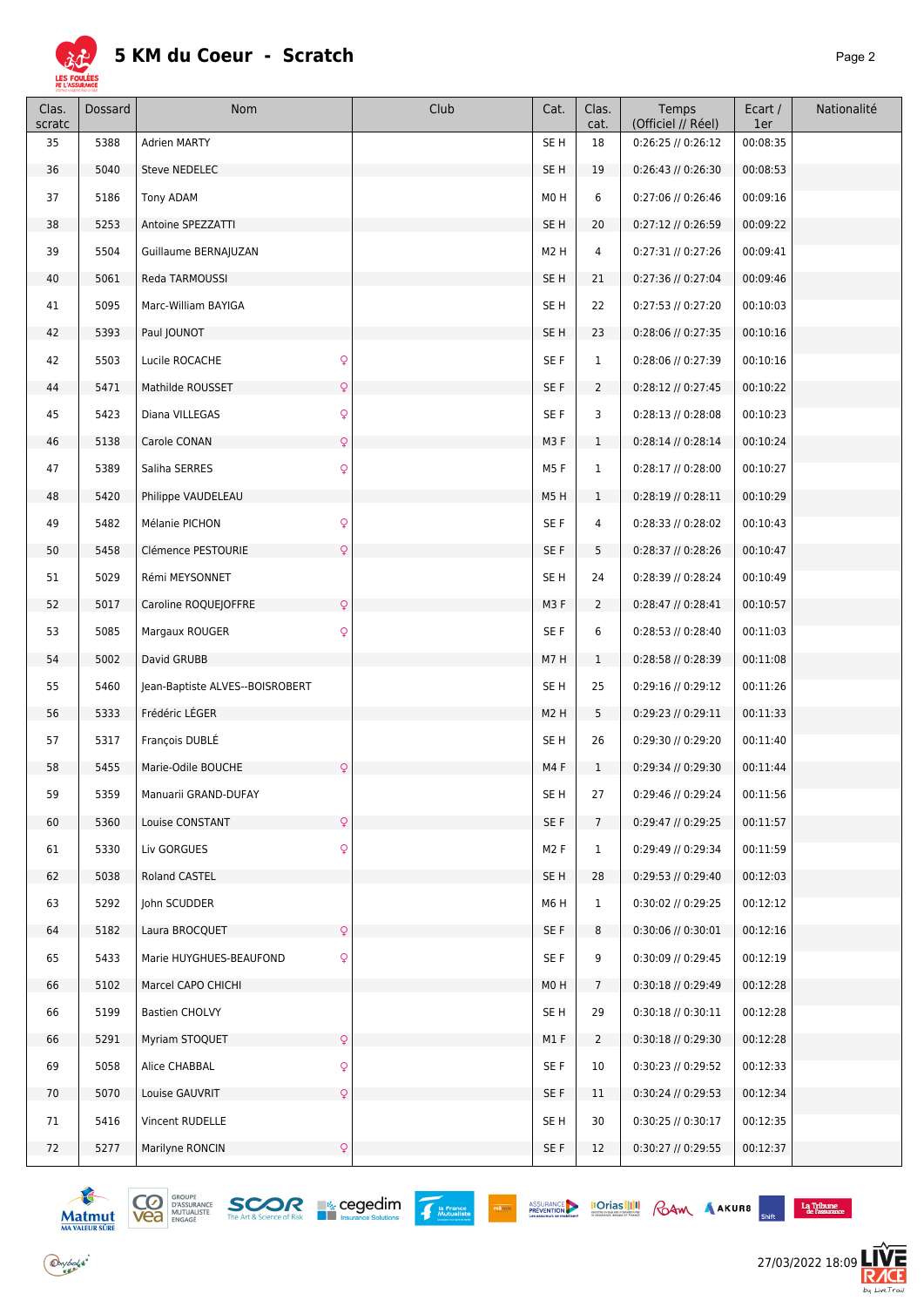

| Clas.<br>scratc | Dossard | Nom                                         | Club | Cat.             | Clas.<br>cat.   | Temps<br>(Officiel // Réel) | Ecart /<br>1er | Nationalité |
|-----------------|---------|---------------------------------------------|------|------------------|-----------------|-----------------------------|----------------|-------------|
| 35              | 5388    | <b>Adrien MARTY</b>                         |      | SE H             | 18              | 0:26:25 // 0:26:12          | 00:08:35       |             |
| 36              | 5040    | Steve NEDELEC                               |      | SE H             | 19              | $0:26:43$ // $0:26:30$      | 00:08:53       |             |
| 37              | 5186    | <b>Tony ADAM</b>                            |      | M0H              | 6               | $0:27:06$ // $0:26:46$      | 00:09:16       |             |
| 38              | 5253    | Antoine SPEZZATTI                           |      | SE <sub>H</sub>  | 20              | 0:27:12 // 0:26:59          | 00:09:22       |             |
| 39              | 5504    | Guillaume BERNAJUZAN                        |      | M <sub>2</sub> H | 4               | $0:27:31$ // $0:27:26$      | 00:09:41       |             |
| 40              | 5061    | Reda TARMOUSSI                              |      | SE H             | 21              | 0:27:36 // 0:27:04          | 00:09:46       |             |
| 41              | 5095    | Marc-William BAYIGA                         |      | SE <sub>H</sub>  | 22              | $0:27:53$ // $0:27:20$      | 00:10:03       |             |
| 42              | 5393    | Paul JOUNOT                                 |      | SE <sub>H</sub>  | 23              | 0:28:06 // 0:27:35          | 00:10:16       |             |
| 42              | 5503    | $\hbox{\large\it Q}$<br>Lucile ROCACHE      |      | SE F             | $\mathbf{1}$    | 0:28:06 // 0:27:39          | 00:10:16       |             |
| 44              | 5471    | $\mathsf{Q}$<br>Mathilde ROUSSET            |      | SE F             | $\overline{2}$  | $0:28:12$ // $0:27:45$      | 00:10:22       |             |
| 45              | 5423    | $\mathsf{Q}$<br>Diana VILLEGAS              |      | SE F             | 3               | $0:28:13$ // $0:28:08$      | 00:10:23       |             |
| 46              | 5138    | $\mathsf{Q}$<br>Carole CONAN                |      | M3F              | $\mathbf{1}$    | $0:28:14$ // $0:28:14$      | 00:10:24       |             |
| 47              | 5389    | Saliha SERRES<br>$\mathsf{Q}$               |      | M5F              | 1               | $0:28:17$ // $0:28:00$      | 00:10:27       |             |
| 48              | 5420    | Philippe VAUDELEAU                          |      | M5H              | $\mathbf{1}$    | $0:28:19$ // $0:28:11$      | 00:10:29       |             |
| 49              | 5482    | $\mathsf{Q}$<br>Mélanie PICHON              |      | SE F             | 4               | $0:28:33$ // $0:28:02$      | 00:10:43       |             |
| $50\,$          | 5458    | $\mathsf{Q}$<br>Clémence PESTOURIE          |      | SE F             | 5 <sup>5</sup>  | $0:28:37$ // $0:28:26$      | 00:10:47       |             |
| 51              | 5029    | Rémi MEYSONNET                              |      | SE <sub>H</sub>  | 24              | 0:28:39 // 0:28:24          | 00:10:49       |             |
| 52              | 5017    | $\mathsf{Q}$<br>Caroline ROQUEJOFFRE        |      | M3F              | $\mathbf{2}$    | $0:28:47$ // $0:28:41$      | 00:10:57       |             |
| 53              | 5085    | $\mathsf{Q}$<br>Margaux ROUGER              |      | SE F             | 6               | $0:28:53$ // $0:28:40$      | 00:11:03       |             |
| 54              | 5002    | David GRUBB                                 |      | M7H              | $\mathbf{1}$    | $0:28:58$ // $0:28:39$      | 00:11:08       |             |
| 55              | 5460    | Jean-Baptiste ALVES--BOISROBERT             |      | SE <sub>H</sub>  | 25              | $0:29:16$ // $0:29:12$      | 00:11:26       |             |
| 56              | 5333    | Frédéric LÉGER                              |      | M <sub>2</sub> H | 5               | $0:29:23$ // $0:29:11$      | 00:11:33       |             |
| 57              | 5317    | François DUBLÉ                              |      | SE <sub>H</sub>  | 26              | 0:29:30 // 0:29:20          | 00:11:40       |             |
| 58              | 5455    | $\mathsf{Q}$<br>Marie-Odile BOUCHE          |      | M4F              | $\mathbf{1}$    | 0:29:34 // 0:29:30          | 00:11:44       |             |
| 59              | 5359    | Manuarii GRAND-DUFAY                        |      | SE H             | 27              | 0:29:46 // 0:29:24          | 00:11:56       |             |
| 60              | 5360    | $\mathsf{Q}$<br>Louise CONSTANT             |      | SE F             | $7\overline{ }$ | $0:29:47$ // $0:29:25$      | 00:11:57       |             |
| 61              | 5330    | $\hbox{\large\textsf{Q}}$<br>Liv GORGUES    |      | M <sub>2</sub> F | $\mathbf{1}$    | 0:29:49 // 0:29:34          | 00:11:59       |             |
| 62              | 5038    | Roland CASTEL                               |      | SE <sub>H</sub>  | 28              | 0:29:53 // 0:29:40          | 00:12:03       |             |
| 63              | 5292    | John SCUDDER                                |      | M6H              | $\mathbf{1}$    | 0:30:02 // 0:29:25          | 00:12:12       |             |
| 64              | 5182    | $\mathsf{Q}$<br>Laura BROCQUET              |      | SE F             | 8               | $0:30:06$ // $0:30:01$      | 00:12:16       |             |
| 65              | 5433    | $\mathsf{Q}$<br>Marie HUYGHUES-BEAUFOND     |      | SE F             | 9               | 0:30:09 // 0:29:45          | 00:12:19       |             |
| 66              | 5102    | Marcel CAPO CHICHI                          |      | M <sub>0</sub> H | $7^{\circ}$     | $0:30:18$ // $0:29:49$      | 00:12:28       |             |
| 66              | 5199    | <b>Bastien CHOLVY</b>                       |      | SE <sub>H</sub>  | 29              | $0:30:18$ // $0:30:11$      | 00:12:28       |             |
| 66              | 5291    | $\hbox{\large\textsf{Q}}$<br>Myriam STOQUET |      | M1F              | $\mathbf{2}$    | $0:30:18$ // $0:29:30$      | 00:12:28       |             |
| 69              | 5058    | $\mathsf{Q}$<br>Alice CHABBAL               |      | SE F             | 10              | 0:30:23 // 0:29:52          | 00:12:33       |             |
| 70              | 5070    | $\mathsf{Q}$<br>Louise GAUVRIT              |      | SE F             | 11              | $0:30:24$ // $0:29:53$      | 00:12:34       |             |
| 71              | 5416    | Vincent RUDELLE                             |      | SE <sub>H</sub>  | 30              | 0:30:25 // 0:30:17          | 00:12:35       |             |
| 72              | 5277    | Marilyne RONCIN<br>$\mathsf{Q}$             |      | SE F             | 12              | 0:30:27 // 0:29:55          | 00:12:37       |             |
|                 |         |                                             |      |                  |                 |                             |                |             |





PRÉVOIR



 $\begin{array}{c}\n\textbf{La Tribune} \\
\textbf{de l'assurance}\n\end{array}$ 

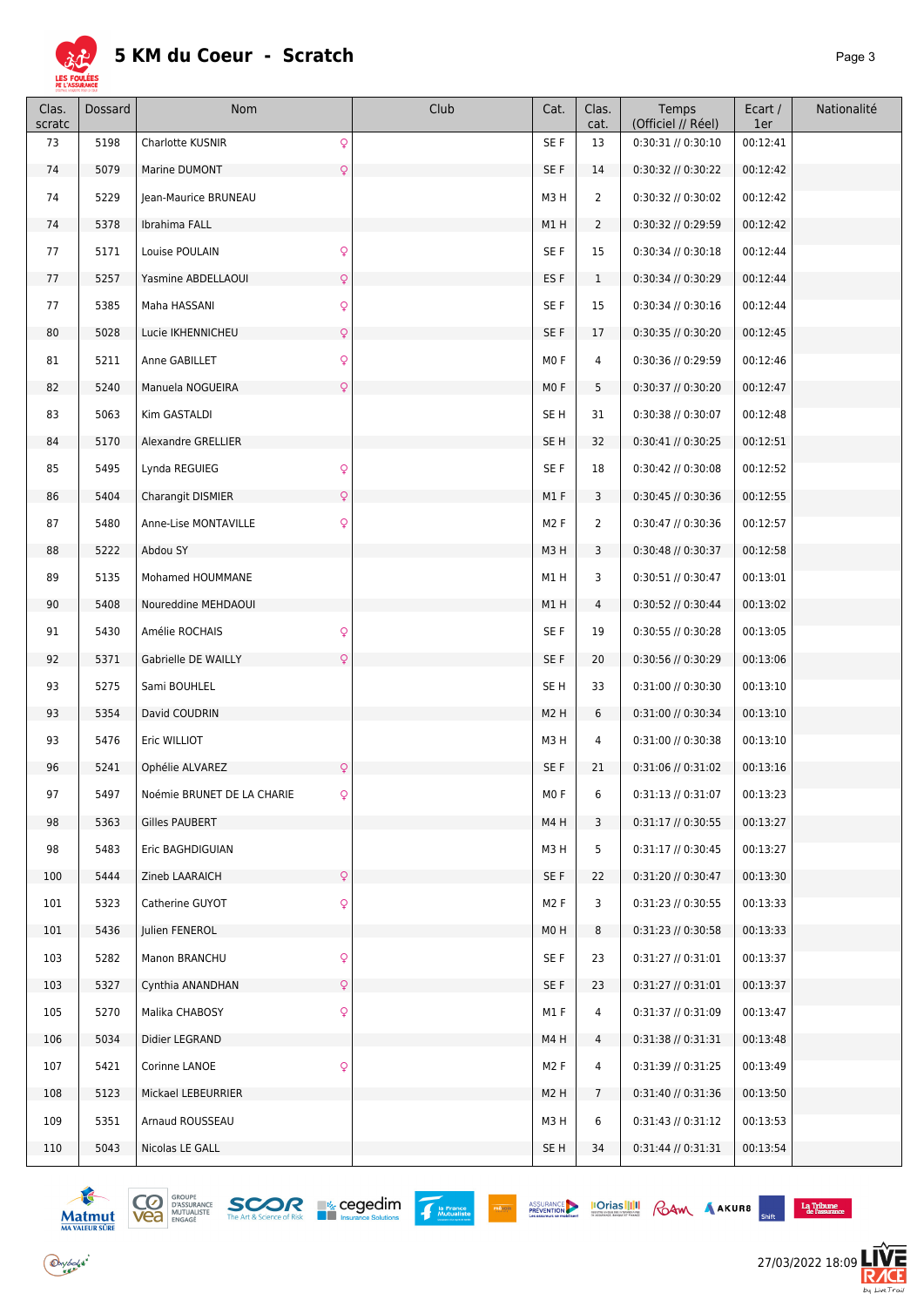

| Clas.<br>scratc | Dossard | Nom                        | Club         | Cat.             | Clas.<br>cat.   | Temps<br>(Officiel // Réel) | Ecart /<br>1er | Nationalité |
|-----------------|---------|----------------------------|--------------|------------------|-----------------|-----------------------------|----------------|-------------|
| 73              | 5198    | Charlotte KUSNIR           | Q            | SE F             | 13              | $0:30:31$ // $0:30:10$      | 00:12:41       |             |
| 74              | 5079    | Marine DUMONT              | Q            | SE F             | 14              | 0:30:32 // 0:30:22          | 00:12:42       |             |
| 74              | 5229    | Jean-Maurice BRUNEAU       |              | M3H              | $\overline{2}$  | 0:30:32 // 0:30:02          | 00:12:42       |             |
| 74              | 5378    | Ibrahima FALL              |              | M1H              | $\overline{2}$  | 0:30:32 // 0:29:59          | 00:12:42       |             |
| 77              | 5171    | Louise POULAIN             | $\mathsf{Q}$ | SE F             | 15              | $0:30:34$ // $0:30:18$      | 00:12:44       |             |
| 77              | 5257    | Yasmine ABDELLAOUI         | $\mathsf{Q}$ | ES <sub>F</sub>  | $\mathbf{1}$    | 0:30:34 // 0:30:29          | 00:12:44       |             |
| 77              | 5385    | Maha HASSANI               | Q            | SE F             | 15              | 0:30:34 // 0:30:16          | 00:12:44       |             |
| 80              | 5028    | Lucie IKHENNICHEU          | $\mathsf{Q}$ | SE F             | 17              | $0:30:35$ // $0:30:20$      | 00:12:45       |             |
| 81              | 5211    | Anne GABILLET              | Q            | MO F             | 4               | 0:30:36 // 0:29:59          | 00:12:46       |             |
| 82              | 5240    | Manuela NOGUEIRA           | Q            | M <sub>0</sub> F | 5               | 0:30:37 // 0:30:20          | 00:12:47       |             |
| 83              | 5063    | Kim GASTALDI               |              | SE <sub>H</sub>  | 31              | 0:30:38 // 0:30:07          | 00:12:48       |             |
| 84              | 5170    | Alexandre GRELLIER         |              | SE <sub>H</sub>  | 32              | 0:30:41 // 0:30:25          | 00:12:51       |             |
| 85              | 5495    | Lynda REGUIEG              | Q            | SE F             | 18              | $0:30:42$ // $0:30:08$      | 00:12:52       |             |
| 86              | 5404    | Charangit DISMIER          | $\mathsf{Q}$ | M1F              | 3               | $0:30:45$ // $0:30:36$      | 00:12:55       |             |
| 87              | 5480    | Anne-Lise MONTAVILLE       | Q            | M <sub>2</sub> F | $\overline{2}$  | 0:30:47 // 0:30:36          | 00:12:57       |             |
| 88              | 5222    | Abdou SY                   |              | M3H              | 3               | $0:30:48$ // $0:30:37$      | 00:12:58       |             |
| 89              | 5135    | Mohamed HOUMMANE           |              | M1H              | 3               | 0:30:51 // 0:30:47          | 00:13:01       |             |
| 90              | 5408    | Noureddine MEHDAOUI        |              | M1H              | 4               | $0:30:52$ // $0:30:44$      | 00:13:02       |             |
| 91              | 5430    | Amélie ROCHAIS             | Q            | SE F             | 19              | 0:30:55 // 0:30:28          | 00:13:05       |             |
| 92              | 5371    | Gabrielle DE WAILLY        | $\mathsf{Q}$ | SE F             | 20              | 0:30:56 // 0:30:29          | 00:13:06       |             |
| 93              | 5275    | Sami BOUHLEL               |              | SE <sub>H</sub>  | 33              | 0:31:00 // 0:30:30          | 00:13:10       |             |
| 93              | 5354    | David COUDRIN              |              | M <sub>2</sub> H | 6               | 0:31:00 // 0:30:34          | 00:13:10       |             |
| 93              | 5476    | Eric WILLIOT               |              | M3H              | 4               | 0:31:00 // 0:30:38          | 00:13:10       |             |
| 96              | 5241    | Ophélie ALVAREZ            | $\mathsf{Q}$ | SE F             | 21              | $0:31:06$ // $0:31:02$      | 00:13:16       |             |
| 97              | 5497    | Noémie BRUNET DE LA CHARIE | $\cap$       | MO F             | 6               | 0:31:13 // 0:31:07          | 00:13:23       |             |
| 98              | 5363    | Gilles PAUBERT             |              | M4H              | 3               | $0:31:17$ // $0:30:55$      | 00:13:27       |             |
| 98              | 5483    | Eric BAGHDIGUIAN           |              | M3H              | 5               | 0:31:17 // 0:30:45          | 00:13:27       |             |
| 100             | 5444    | Zineb LAARAICH             | $\mathsf{Q}$ | SE F             | 22              | $0:31:20$ // $0:30:47$      | 00:13:30       |             |
| 101             | 5323    | Catherine GUYOT            | ç            | M <sub>2</sub> F | 3               | $0:31:23$ // $0:30:55$      | 00:13:33       |             |
| 101             | 5436    | Julien FENEROL             |              | MOH              | 8               | 0:31:23 // 0:30:58          | 00:13:33       |             |
| 103             | 5282    | Manon BRANCHU              | Q            | SE F             | 23              | 0:31:27 // 0:31:01          | 00:13:37       |             |
| 103             | 5327    | Cynthia ANANDHAN           | $\mathsf{Q}$ | SE F             | 23              | $0:31:27$ // $0:31:01$      | 00:13:37       |             |
| 105             | 5270    | Malika CHABOSY             | Q            | M1 F             | 4               | $0:31:37$ // $0:31:09$      | 00:13:47       |             |
| 106             | 5034    | Didier LEGRAND             |              | M4H              | 4               | 0:31:38 // 0:31:31          | 00:13:48       |             |
| 107             | 5421    | Corinne LANOE              | Q            | M <sub>2</sub> F | 4               | 0:31:39 // 0:31:25          | 00:13:49       |             |
| 108             | 5123    | Mickael LEBEURRIER         |              | M <sub>2</sub> H | $7\overline{ }$ | 0:31:40 // 0:31:36          | 00:13:50       |             |
| 109             | 5351    | Arnaud ROUSSEAU            |              | M3H              | 6               | $0:31:43$ // $0:31:12$      | 00:13:53       |             |
| 110             | 5043    | Nicolas LE GALL            |              | SE H             | 34              | 0:31:44 // 0:31:31          | 00:13:54       |             |
|                 |         |                            |              |                  |                 |                             |                |             |





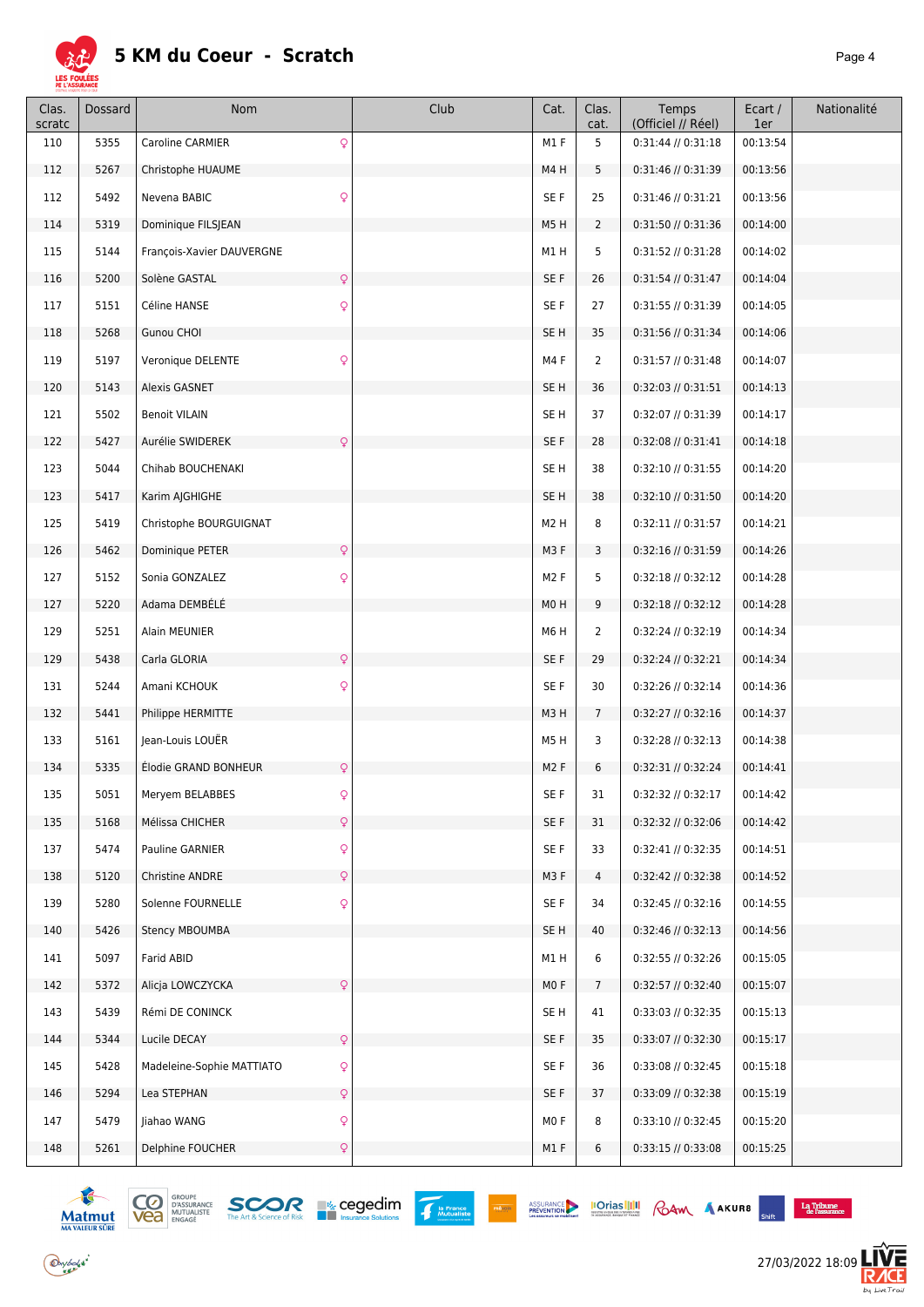

| Clas.<br>scratc | Dossard | Nom                              | Club | Cat.             | Clas.<br>cat.   | Temps<br>(Officiel // Réel) | Ecart /<br>1er | Nationalité |
|-----------------|---------|----------------------------------|------|------------------|-----------------|-----------------------------|----------------|-------------|
| 110             | 5355    | Q<br>Caroline CARMIER            |      | M1F              | 5               | $0:31:44$ // $0:31:18$      | 00:13:54       |             |
| 112             | 5267    | Christophe HUAUME                |      | M4H              | 5               | 0:31:46 // 0:31:39          | 00:13:56       |             |
| 112             | 5492    | Nevena BABIC<br>Q                |      | SE F             | 25              | 0:31:46 // 0:31:21          | 00:13:56       |             |
| 114             | 5319    | Dominique FILSJEAN               |      | M5H              | $\overline{2}$  | 0:31:50 // 0:31:36          | 00:14:00       |             |
| 115             | 5144    | François-Xavier DAUVERGNE        |      | M1H              | 5               | 0:31:52 // 0:31:28          | 00:14:02       |             |
| 116             | 5200    | Solène GASTAL<br>Q               |      | SE F             | 26              | $0:31:54$ // $0:31:47$      | 00:14:04       |             |
| 117             | 5151    | Q<br>Céline HANSE                |      | SE F             | 27              | 0:31:55 // 0:31:39          | 00:14:05       |             |
| 118             | 5268    | Gunou CHOI                       |      | SE H             | 35              | 0:31:56 // 0:31:34          | 00:14:06       |             |
| 119             | 5197    | Veronique DELENTE<br>Q           |      | M4F              | $\overline{2}$  | 0:31:57 // 0:31:48          | 00:14:07       |             |
| 120             | 5143    | Alexis GASNET                    |      | SE H             | 36              | $0:32:03$ // $0:31:51$      | 00:14:13       |             |
| 121             | 5502    | <b>Benoit VILAIN</b>             |      | SE H             | 37              | 0:32:07 // 0:31:39          | 00:14:17       |             |
| 122             | 5427    | $\mathsf{Q}$<br>Aurélie SWIDEREK |      | SE F             | 28              | $0:32:08$ // $0:31:41$      | 00:14:18       |             |
| 123             | 5044    | Chihab BOUCHENAKI                |      | SE H             | 38              | 0:32:10 // 0:31:55          | 00:14:20       |             |
| 123             | 5417    | Karim AJGHIGHE                   |      | SE <sub>H</sub>  | 38              | 0:32:10 // 0:31:50          | 00:14:20       |             |
| 125             | 5419    | Christophe BOURGUIGNAT           |      | M <sub>2</sub> H | 8               | 0:32:11 // 0:31:57          | 00:14:21       |             |
| 126             | 5462    | Dominique PETER<br>Q             |      | M3 F             | 3               | 0:32:16 // 0:31:59          | 00:14:26       |             |
| 127             | 5152    | Q<br>Sonia GONZALEZ              |      | M <sub>2</sub> F | 5               | 0:32:18 // 0:32:12          | 00:14:28       |             |
| 127             | 5220    | Adama DEMBÉLÉ                    |      | M <sub>0</sub> H | 9               | 0:32:18 // 0:32:12          | 00:14:28       |             |
| 129             | 5251    | Alain MEUNIER                    |      | M6H              | 2               | 0:32:24 // 0:32:19          | 00:14:34       |             |
| 129             | 5438    | Q<br>Carla GLORIA                |      | SE F             | 29              | $0:32:24$ // $0:32:21$      | 00:14:34       |             |
| 131             | 5244    | Amani KCHOUK<br>Q                |      | SE F             | 30              | 0:32:26 // 0:32:14          | 00:14:36       |             |
| 132             | 5441    | Philippe HERMITTE                |      | M3H              | $7\overline{ }$ | 0:32:27 // 0:32:16          | 00:14:37       |             |
| 133             | 5161    | Jean-Louis LOUËR                 |      | M5H              | 3               | $0:32:28$ // $0:32:13$      | 00:14:38       |             |
| 134             | 5335    | Q<br>Élodie GRAND BONHEUR        |      | M <sub>2</sub> F | 6               | 0:32:31 // 0:32:24          | 00:14:41       |             |
| 135             | 5051    | Q<br>Mervem BELABBES             |      | SE F             | 31              | 0:32:32 // 0:32:17          | 00:14:42       |             |
| 135             | 5168    | Q<br>Mélissa CHICHER             |      | SE F             | 31              | 0:32:32 // 0:32:06          | 00:14:42       |             |
| 137             | 5474    | Q<br>Pauline GARNIER             |      | SE F             | 33              | 0:32:41 // 0:32:35          | 00:14:51       |             |
| 138             | 5120    | Christine ANDRE<br>Q             |      | M3 F             | 4               | 0:32:42 // 0:32:38          | 00:14:52       |             |
| 139             | 5280    | Q<br>Solenne FOURNELLE           |      | SE F             | 34              | $0:32:45$ // $0:32:16$      | 00:14:55       |             |
| 140             | 5426    | Stency MBOUMBA                   |      | SE H             | 40              | 0:32:46 // 0:32:13          | 00:14:56       |             |
| 141             | 5097    | Farid ABID                       |      | M1H              | 6               | 0:32:55 // 0:32:26          | 00:15:05       |             |
| 142             | 5372    | Alicja LOWCZYCKA<br>Q            |      | MO F             | $7\overline{ }$ | 0:32:57 // 0:32:40          | 00:15:07       |             |
| 143             | 5439    | Rémi DE CONINCK                  |      | SE H             | 41              | 0:33:03 // 0:32:35          | 00:15:13       |             |
| 144             | 5344    | Lucile DECAY<br>Q                |      | SE F             | 35              | 0:33:07 // 0:32:30          | 00:15:17       |             |
| 145             | 5428    | Madeleine-Sophie MATTIATO<br>Q   |      | SE F             | 36              | 0:33:08 // 0:32:45          | 00:15:18       |             |
| 146             | 5294    | Q<br>Lea STEPHAN                 |      | SE F             | 37              | 0:33:09 // 0:32:38          | 00:15:19       |             |
| 147             | 5479    | Q<br>Jiahao WANG                 |      | MO F             | 8               | 0:33:10 // 0:32:45          | 00:15:20       |             |
| 148             | 5261    | Delphine FOUCHER<br>Q            |      | M1 F             | 6               | 0:33:15 // 0:33:08          | 00:15:25       |             |





PRÉVOIR



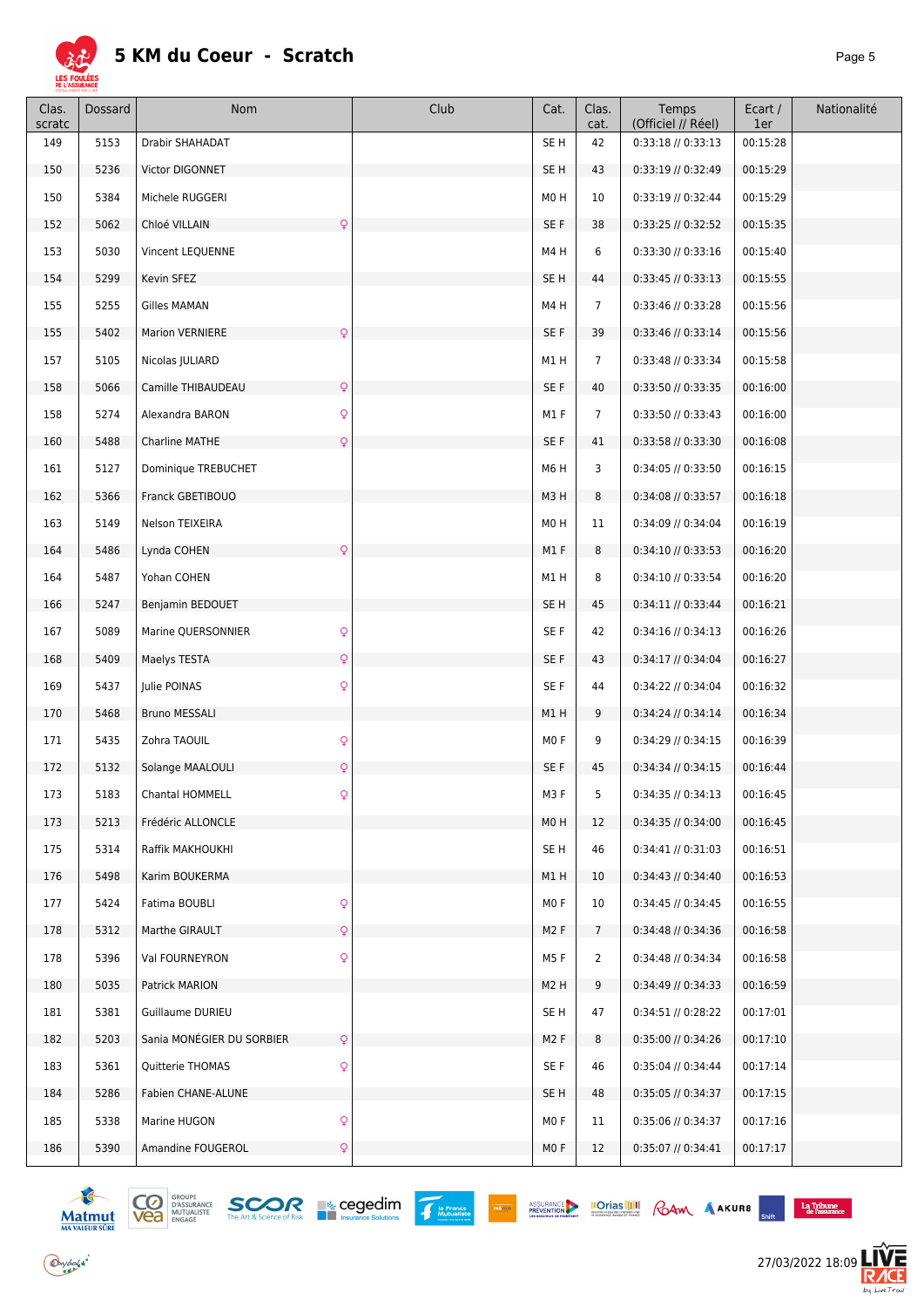

| Clas.<br>scratc | Dossard | Nom                                       | Club | Cat.             | Clas.<br>cat.   | Temps<br>(Officiel // Réel) | Ecart /<br>1er | Nationalité |
|-----------------|---------|-------------------------------------------|------|------------------|-----------------|-----------------------------|----------------|-------------|
| 149             | 5153    | <b>Drabir SHAHADAT</b>                    |      | SE <sub>H</sub>  | 42              | $0:33:18$ // $0:33:13$      | 00:15:28       |             |
| 150             | 5236    | Victor DIGONNET                           |      | SE <sub>H</sub>  | 43              | 0:33:19 // 0:32:49          | 00:15:29       |             |
| 150             | 5384    | Michele RUGGERI                           |      | M0H              | 10              | 0:33:19 // 0:32:44          | 00:15:29       |             |
| 152             | 5062    | Q<br>Chloé VILLAIN                        |      | SE F             | 38              | 0:33:25 // 0:32:52          | 00:15:35       |             |
| 153             | 5030    | Vincent LEQUENNE                          |      | M4H              | 6               | 0:33:30 // 0:33:16          | 00:15:40       |             |
| 154             | 5299    | Kevin SFEZ                                |      | SE H             | 44              | $0:33:45$ // $0:33:13$      | 00:15:55       |             |
| 155             | 5255    | Gilles MAMAN                              |      | M4H              | $\overline{7}$  | 0:33:46 // 0:33:28          | 00:15:56       |             |
| 155             | 5402    | Q<br><b>Marion VERNIERE</b>               |      | SE F             | 39              | 0:33:46 // 0:33:14          | 00:15:56       |             |
| 157             | 5105    | Nicolas JULIARD                           |      | M1H              | $\overline{7}$  | 0:33:48 // 0:33:34          | 00:15:58       |             |
| 158             | 5066    | Q<br>Camille THIBAUDEAU                   |      | SE F             | 40              | 0:33:50 // 0:33:35          | 00:16:00       |             |
| 158             | 5274    | $\mathsf{Q}$<br>Alexandra BARON           |      | M1 F             | $\overline{7}$  | 0:33:50 // 0:33:43          | 00:16:00       |             |
| 160             | 5488    | Charline MATHE<br>Q                       |      | SE F             | 41              | 0:33:58 // 0:33:30          | 00:16:08       |             |
| 161             | 5127    | Dominique TREBUCHET                       |      | M6H              | 3               | 0:34:05 // 0:33:50          | 00:16:15       |             |
| 162             | 5366    | Franck GBETIBOUO                          |      | M3H              | 8               | 0:34:08 // 0:33:57          | 00:16:18       |             |
| 163             | 5149    | Nelson TEIXEIRA                           |      | M0H              | 11              | 0:34:09 // 0:34:04          | 00:16:19       |             |
| 164             | 5486    | Q<br>Lynda COHEN                          |      | M1F              | 8               | $0:34:10$ // $0:33:53$      | 00:16:20       |             |
| 164             | 5487    | Yohan COHEN                               |      | M1H              | 8               | 0:34:10 // 0:33:54          | 00:16:20       |             |
| 166             | 5247    | Benjamin BEDOUET                          |      | SE <sub>H</sub>  | 45              | $0:34:11$ // $0:33:44$      | 00:16:21       |             |
| 167             | 5089    | Marine QUERSONNIER<br>Q                   |      | SE F             | 42              | 0:34:16 // 0:34:13          | 00:16:26       |             |
| 168             | 5409    | Q<br>Maelys TESTA                         |      | SE F             | 43              | 0:34:17 // 0:34:04          | 00:16:27       |             |
| 169             | 5437    | Julie POINAS<br>Q                         |      | SE F             | 44              | 0:34:22 // 0:34:04          | 00:16:32       |             |
| 170             | 5468    | <b>Bruno MESSALI</b>                      |      | M1H              | 9               | 0:34:24 // 0:34:14          | 00:16:34       |             |
| 171             | 5435    | Q<br>Zohra TAOUIL                         |      | M <sub>0</sub> F | 9               | 0:34:29 // 0:34:15          | 00:16:39       |             |
| 172             | 5132    | Solange MAALOULI<br>Q                     |      | SE F             | 45              | 0:34:34 // 0:34:15          | 00:16:44       |             |
| 173             | 5183    | Chantal HOMMELL                           |      | M3F              | 5               | 0:34:35 // 0:34:13          | 00:16:45       |             |
| 173             | 5213    | Frédéric ALLONCLE                         |      | M0H              | 12              | $0:34:35$ // $0:34:00$      | 00:16:45       |             |
| 175             | 5314    | Raffik MAKHOUKHI                          |      | SE H             | 46              | $0:34:41$ // $0:31:03$      | 00:16:51       |             |
| 176             | 5498    | Karim BOUKERMA                            |      | M1H              | 10              | $0:34:43$ // $0:34:40$      | 00:16:53       |             |
| 177             | 5424    | Q<br>Fatima BOUBLI                        |      | MO F             | 10              | 0:34:45 // 0:34:45          | 00:16:55       |             |
| 178             | 5312    | $\mathsf{Q}$<br>Marthe GIRAULT            |      | M <sub>2</sub> F | $7\overline{ }$ | 0:34:48 // 0:34:36          | 00:16:58       |             |
| 178             | 5396    | Val FOURNEYRON<br>Q                       |      | M5F              | 2               | 0:34:48 // 0:34:34          | 00:16:58       |             |
| 180             | 5035    | Patrick MARION                            |      | M <sub>2</sub> H | 9               | 0:34:49 // 0:34:33          | 00:16:59       |             |
| 181             | 5381    | Guillaume DURIEU                          |      | SE H             | 47              | 0:34:51 // 0:28:22          | 00:17:01       |             |
| 182             | 5203    | Sania MONÉGIER DU SORBIER<br>$\mathsf{Q}$ |      | M <sub>2</sub> F | 8               | 0:35:00 // 0:34:26          | 00:17:10       |             |
| 183             | 5361    | Quitterie THOMAS<br>Q                     |      | SE F             | 46              | 0:35:04 // 0:34:44          | 00:17:14       |             |
| 184             | 5286    | Fabien CHANE-ALUNE                        |      | SE H             | 48              | $0:35:05$ // $0:34:37$      | 00:17:15       |             |
| 185             | 5338    | Q<br>Marine HUGON                         |      | MO F             | 11              | 0:35:06 // 0:34:37          | 00:17:16       |             |
| 186             | 5390    | Amandine FOUGEROL<br>Q                    |      | MO F             | 12              | $0:35:07$ // $0:34:41$      | 00:17:17       |             |



 $\bigodot$  y bolsk<sup>\*</sup>





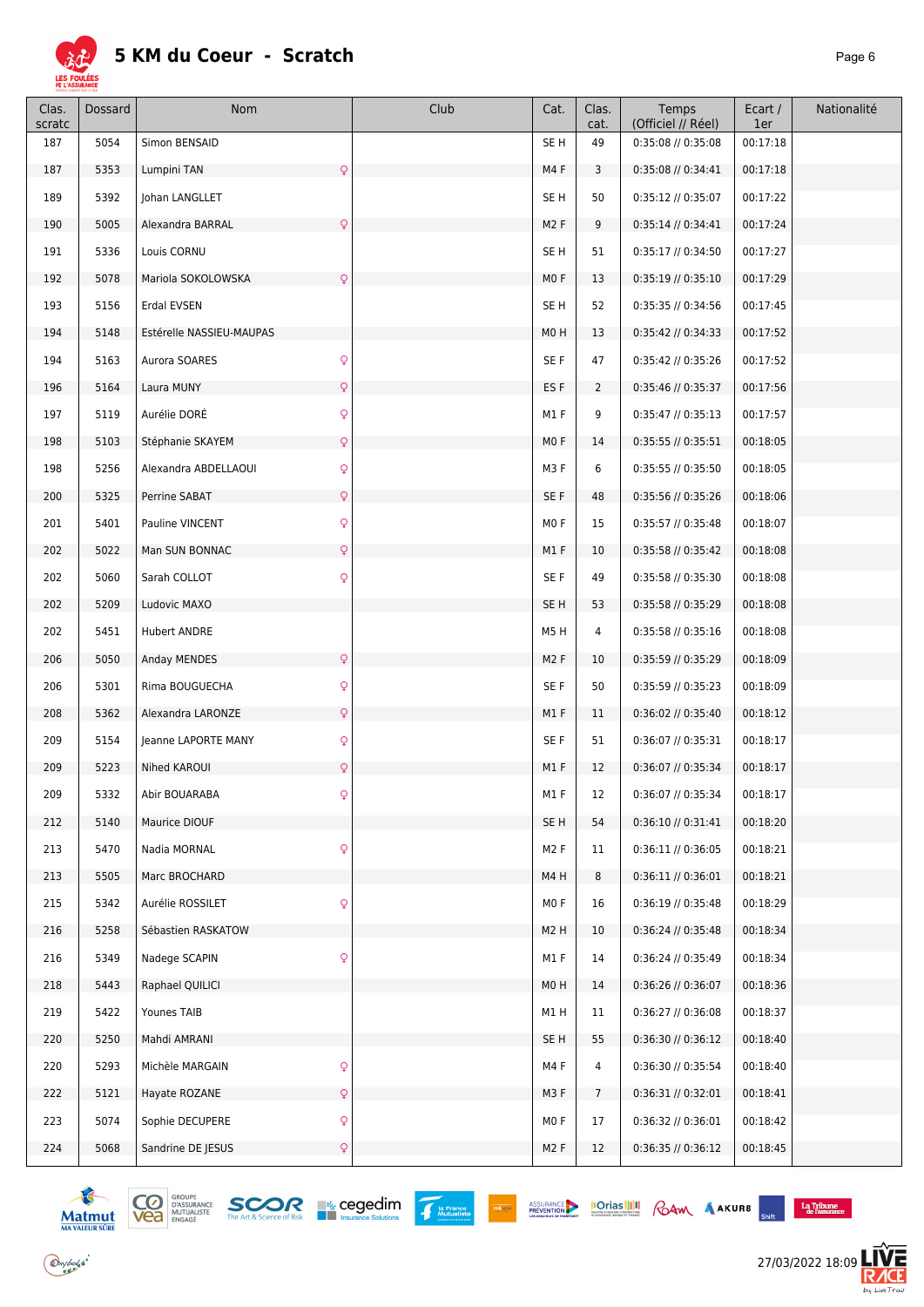

#### **5 KM du Coeur - Scratch**

| Clas.<br>scratc | Dossard | Nom                                  | Club | Cat.             | Clas.<br>cat.  | Temps<br>(Officiel // Réel) | Ecart /<br>1er | Nationalité |
|-----------------|---------|--------------------------------------|------|------------------|----------------|-----------------------------|----------------|-------------|
| 187             | 5054    | Simon BENSAID                        |      | SE <sub>H</sub>  | 49             | 0:35:08 // 0:35:08          | 00:17:18       |             |
| 187             | 5353    | Lumpini TAN<br>Q                     |      | M4F              | 3              | 0:35:08 // 0:34:41          | 00:17:18       |             |
| 189             | 5392    | Johan LANGLLET                       |      | SE H             | 50             | 0:35:12 // 0:35:07          | 00:17:22       |             |
| 190             | 5005    | $\mathsf{Q}$<br>Alexandra BARRAL     |      | M <sub>2</sub> F | 9              | $0:35:14$ // $0:34:41$      | 00:17:24       |             |
| 191             | 5336    | Louis CORNU                          |      | SE H             | 51             | 0:35:17 // 0:34:50          | 00:17:27       |             |
| 192             | 5078    | Mariola SOKOLOWSKA<br>$\mathsf{Q}$   |      | MOF              | 13             | 0:35:19 // 0:35:10          | 00:17:29       |             |
| 193             | 5156    | Erdal EVSEN                          |      | SE <sub>H</sub>  | 52             | 0:35:35 // 0:34:56          | 00:17:45       |             |
| 194             | 5148    | Estérelle NASSIEU-MAUPAS             |      | M <sub>0</sub> H | 13             | $0:35:42$ // $0:34:33$      | 00:17:52       |             |
| 194             | 5163    | $\mathsf{Q}$<br>Aurora SOARES        |      | SE F             | 47             | 0:35:42 // 0:35:26          | 00:17:52       |             |
| 196             | 5164    | $\mathsf{Q}$<br>Laura MUNY           |      | ES F             | $\overline{2}$ | 0:35:46 // 0:35:37          | 00:17:56       |             |
| 197             | 5119    | Aurélie DORÉ<br>$\mathsf{Q}$         |      | M1F              | 9              | $0:35:47$ // $0:35:13$      | 00:17:57       |             |
| 198             | 5103    | Stéphanie SKAYEM<br>$\mathsf{Q}$     |      | MO F             | 14             | 0:35:55 // 0:35:51          | 00:18:05       |             |
| 198             | 5256    | $\mathsf{Q}$<br>Alexandra ABDELLAOUI |      | M3F              | 6              | 0:35:55 // 0:35:50          | 00:18:05       |             |
| 200             | 5325    | Perrine SABAT<br>$\mathsf Q$         |      | SE F             | 48             | 0:35:56 // 0:35:26          | 00:18:06       |             |
| 201             | 5401    | $\mathsf{Q}$<br>Pauline VINCENT      |      | MO <sub>F</sub>  | 15             | 0:35:57 // 0:35:48          | 00:18:07       |             |
| 202             | 5022    | Man SUN BONNAC<br>$\mathsf{Q}$       |      | M1 F             | 10             | 0:35:58 // 0:35:42          | 00:18:08       |             |
| 202             | 5060    | $\mathsf{Q}$<br>Sarah COLLOT         |      | SE F             | 49             | 0:35:58 // 0:35:30          | 00:18:08       |             |
| 202             | 5209    | Ludovic MAXO                         |      | SE <sub>H</sub>  | 53             | 0:35:58 // 0:35:29          | 00:18:08       |             |
| 202             | 5451    | <b>Hubert ANDRE</b>                  |      | M5H              | 4              | 0:35:58 // 0:35:16          | 00:18:08       |             |
| 206             | 5050    | $\mathsf{Q}$<br>Anday MENDES         |      | M <sub>2</sub> F | 10             | 0:35:59 // 0:35:29          | 00:18:09       |             |
| 206             | 5301    | Rima BOUGUECHA<br>$\mathsf{Q}$       |      | SE F             | 50             | $0:35:59$ // $0:35:23$      | 00:18:09       |             |
| 208             | 5362    | $\mathsf{Q}$<br>Alexandra LARONZE    |      | M1 F             | 11             | $0:36:02$ // $0:35:40$      | 00:18:12       |             |
| 209             | 5154    | Q<br>Jeanne LAPORTE MANY             |      | SE F             | 51             | 0:36:07 // 0:35:31          | 00:18:17       |             |
| 209             | 5223    | Nihed KAROUI<br>$\mathsf{Q}$         |      | M1F              | 12             | 0:36:07 // 0:35:34          | 00:18:17       |             |
| 209             | 5332    | Abir BOUARABA                        |      | M1F              | 12             | 0:36:07 // 0:35:34          | 00:18:17       |             |
| 212             | 5140    | Maurice DIOUF                        |      | SE H             | 54             | 0:36:10 // 0:31:41          | 00:18:20       |             |
| 213             | 5470    | $\mathsf{Q}$<br>Nadia MORNAL         |      | M <sub>2</sub> F | 11             | $0:36:11$ // $0:36:05$      | 00:18:21       |             |
| 213             | 5505    | Marc BROCHARD                        |      | M4H              | 8              | $0:36:11$ // $0:36:01$      | 00:18:21       |             |
| 215             | 5342    | $\mathsf{Q}$<br>Aurélie ROSSILET     |      | MO F             | 16             | $0:36:19$ // $0:35:48$      | 00:18:29       |             |
| 216             | 5258    | Sébastien RASKATOW                   |      | M <sub>2</sub> H | 10             | 0:36:24 // 0:35:48          | 00:18:34       |             |
| 216             | 5349    | $\mathsf{Q}$<br>Nadege SCAPIN        |      | M1F              | 14             | $0:36:24$ // $0:35:49$      | 00:18:34       |             |
| 218             | 5443    | Raphael QUILICI                      |      | M <sub>0</sub> H | 14             | $0:36:26$ // $0:36:07$      | 00:18:36       |             |
| 219             | 5422    | Younes TAIB                          |      | M1H              | 11             | $0:36:27$ // $0:36:08$      | 00:18:37       |             |
| 220             | 5250    | Mahdi AMRANI                         |      | SE <sub>H</sub>  | 55             | 0:36:30 // 0:36:12          | 00:18:40       |             |
| 220             | 5293    | $\mathsf{Q}$<br>Michèle MARGAIN      |      | M4F              | 4              | 0:36:30 // 0:35:54          | 00:18:40       |             |
| 222             | 5121    | $\mathsf{Q}$<br>Hayate ROZANE        |      | M3F              | $\overline{7}$ | $0:36:31$ // $0:32:01$      | 00:18:41       |             |
| 223             | 5074    | $\mathsf{Q}$<br>Sophie DECUPERE      |      | MO F             | 17             | 0:36:32 // 0:36:01          | 00:18:42       |             |
| 224             | 5068    | Sandrine DE JESUS<br>$\mathsf Q$     |      | M <sub>2</sub> F | 12             | 0:36:35 // 0:36:12          | 00:18:45       |             |





PRÉVOIR

ASSURANCE **IOTIAS IIII** CAM AAKURB SHIT LATER LATER

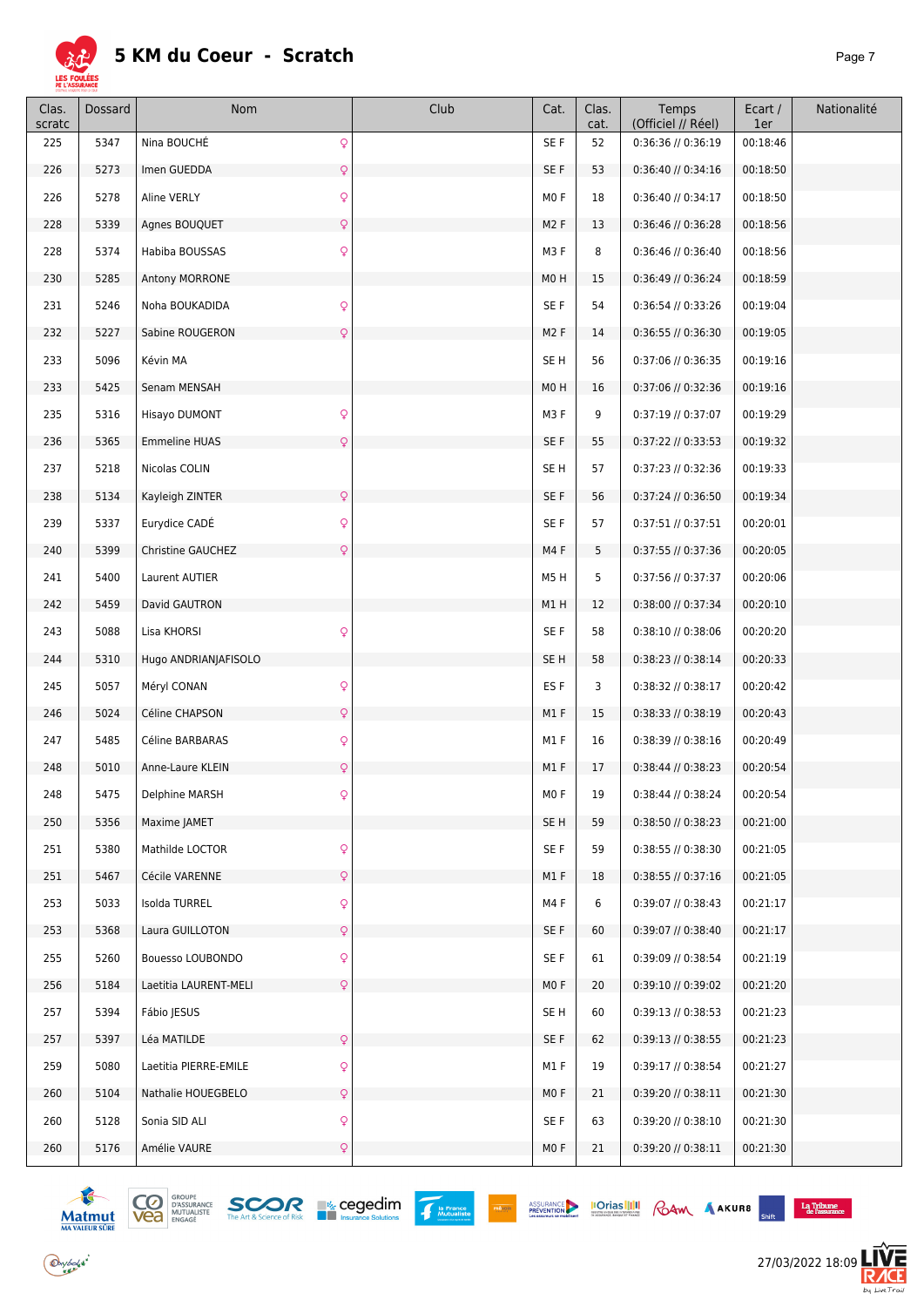

| Clas.<br>scratc | Dossard | Nom                                          | Club | Cat.             | Clas.<br>cat. | Temps<br>(Officiel // Réel) | Ecart /<br>1er | Nationalité |
|-----------------|---------|----------------------------------------------|------|------------------|---------------|-----------------------------|----------------|-------------|
| 225             | 5347    | Q<br>Nina BOUCHÉ                             |      | SE F             | 52            | 0:36:36 // 0:36:19          | 00:18:46       |             |
| 226             | 5273    | Imen GUEDDA<br>$\mathsf{Q}$                  |      | SE F             | 53            | $0:36:40$ // $0:34:16$      | 00:18:50       |             |
| 226             | 5278    | Aline VERLY<br>Q                             |      | MO F             | 18            | 0:36:40 // 0:34:17          | 00:18:50       |             |
| 228             | 5339    | Q<br>Agnes BOUQUET                           |      | M <sub>2</sub> F | 13            | $0:36:46$ // $0:36:28$      | 00:18:56       |             |
| 228             | 5374    | Habiba BOUSSAS<br>Q                          |      | M3F              | 8             | $0:36:46$ // $0:36:40$      | 00:18:56       |             |
| 230             | 5285    | Antony MORRONE                               |      | M <sub>0</sub> H | 15            | $0:36:49$ // $0:36:24$      | 00:18:59       |             |
| 231             | 5246    | $\mathsf{Q}$<br>Noha BOUKADIDA               |      | SE F             | 54            | $0:36:54$ // $0:33:26$      | 00:19:04       |             |
| 232             | 5227    | Sabine ROUGERON<br>Q                         |      | M <sub>2</sub> F | 14            | $0:36:55$ // $0:36:30$      | 00:19:05       |             |
| 233             | 5096    | Kévin MA                                     |      | SE <sub>H</sub>  | 56            | 0:37:06 // 0:36:35          | 00:19:16       |             |
| 233             | 5425    | Senam MENSAH                                 |      | M <sub>0</sub> H | 16            | 0:37:06 // 0:32:36          | 00:19:16       |             |
| 235             | 5316    | $\mathsf{Q}$<br>Hisayo DUMONT                |      | M3F              | 9             | 0:37:19 // 0:37:07          | 00:19:29       |             |
| 236             | 5365    | <b>Emmeline HUAS</b><br>Q                    |      | SE F             | 55            | $0:37:22$ // $0:33:53$      | 00:19:32       |             |
| 237             | 5218    | Nicolas COLIN                                |      | SE H             | 57            | $0:37:23$ // $0:32:36$      | 00:19:33       |             |
| 238             | 5134    | Kayleigh ZINTER<br>Q                         |      | SE F             | 56            | $0:37:24$ // $0:36:50$      | 00:19:34       |             |
| 239             | 5337    | Eurydice CADÉ<br>Q                           |      | SE F             | 57            | $0:37:51$ // $0:37:51$      | 00:20:01       |             |
| 240             | 5399    | Q<br>Christine GAUCHEZ                       |      | M4 F             | 5             | 0:37:55 // 0:37:36          | 00:20:05       |             |
| 241             | 5400    | Laurent AUTIER                               |      | M5H              | 5             | 0:37:56 // 0:37:37          | 00:20:06       |             |
| 242             | 5459    | David GAUTRON                                |      | M1H              | 12            | 0:38:00 // 0:37:34          | 00:20:10       |             |
| 243             | 5088    | Lisa KHORSI<br>Q                             |      | SE F             | 58            | 0:38:10 // 0:38:06          | 00:20:20       |             |
| 244             | 5310    | Hugo ANDRIANJAFISOLO                         |      | SE <sub>H</sub>  | 58            | $0:38:23$ // $0:38:14$      | 00:20:33       |             |
| 245             | 5057    | Méryl CONAN<br>Q                             |      | ES <sub>F</sub>  | 3             | $0:38:32$ // $0:38:17$      | 00:20:42       |             |
| 246             | 5024    | $\mathsf{Q}$<br>Céline CHAPSON               |      | M1F              | 15            | $0:38:33$ // $0:38:19$      | 00:20:43       |             |
| 247             | 5485    | Q<br>Céline BARBARAS                         |      | M1F              | 16            | $0:38:39$ // $0:38:16$      | 00:20:49       |             |
| 248             | 5010    | Anne-Laure KLEIN<br>Q                        |      | M1F              | 17            | $0:38:44$ // $0:38:23$      | 00:20:54       |             |
| 248             | 5475    | Delphine MARSH                               |      | MO F             | 19            | 0:38:44 // 0:38:24          | 00:20:54       |             |
| 250             | 5356    | Maxime JAMET                                 |      | SE H             | 59            | $0:38:50$ // $0:38:23$      | 00:21:00       |             |
| 251             | 5380    | Q<br>Mathilde LOCTOR                         |      | SE F             | 59            | 0:38:55 // 0:38:30          | 00:21:05       |             |
| 251             | 5467    | $\hbox{\large\textsf{Q}}$<br>Cécile VARENNE  |      | M1 F             | 18            | $0:38:55$ // $0:37:16$      | 00:21:05       |             |
| 253             | 5033    | Q<br>Isolda TURREL                           |      | M4F              | 6             | $0:39:07$ // $0:38:43$      | 00:21:17       |             |
| 253             | 5368    | $\hbox{\large\textsf{Q}}$<br>Laura GUILLOTON |      | SE F             | 60            | 0:39:07 // 0:38:40          | 00:21:17       |             |
| 255             | 5260    | Bouesso LOUBONDO<br>Q                        |      | SE F             | 61            | 0:39:09 // 0:38:54          | 00:21:19       |             |
| 256             | 5184    | $\mathsf{Q}$<br>Laetitia LAURENT-MELI        |      | MO F             | 20            | 0:39:10 // 0:39:02          | 00:21:20       |             |
| 257             | 5394    | Fábio JESUS                                  |      | SE <sub>H</sub>  | 60            | $0:39:13$ // $0:38:53$      | 00:21:23       |             |
| 257             | 5397    | Léa MATILDE<br>Q                             |      | SE F             | 62            | 0:39:13 // 0:38:55          | 00:21:23       |             |
| 259             | 5080    | Laetitia PIERRE-EMILE<br>Q                   |      | M1F              | 19            | 0:39:17 // 0:38:54          | 00:21:27       |             |
| 260             | 5104    | Q<br>Nathalie HOUEGBELO                      |      | MO F             | 21            | $0:39:20$ // $0:38:11$      | 00:21:30       |             |
| 260             | 5128    | Sonia SID ALI<br>Q                           |      | SE F             | 63            | 0:39:20 // 0:38:10          | 00:21:30       |             |
| 260             | 5176    | Amélie VAURE<br>Q                            |      | MO F             | 21            | $0:39:20$ // $0:38:11$      | 00:21:30       |             |





PRÉVOIR



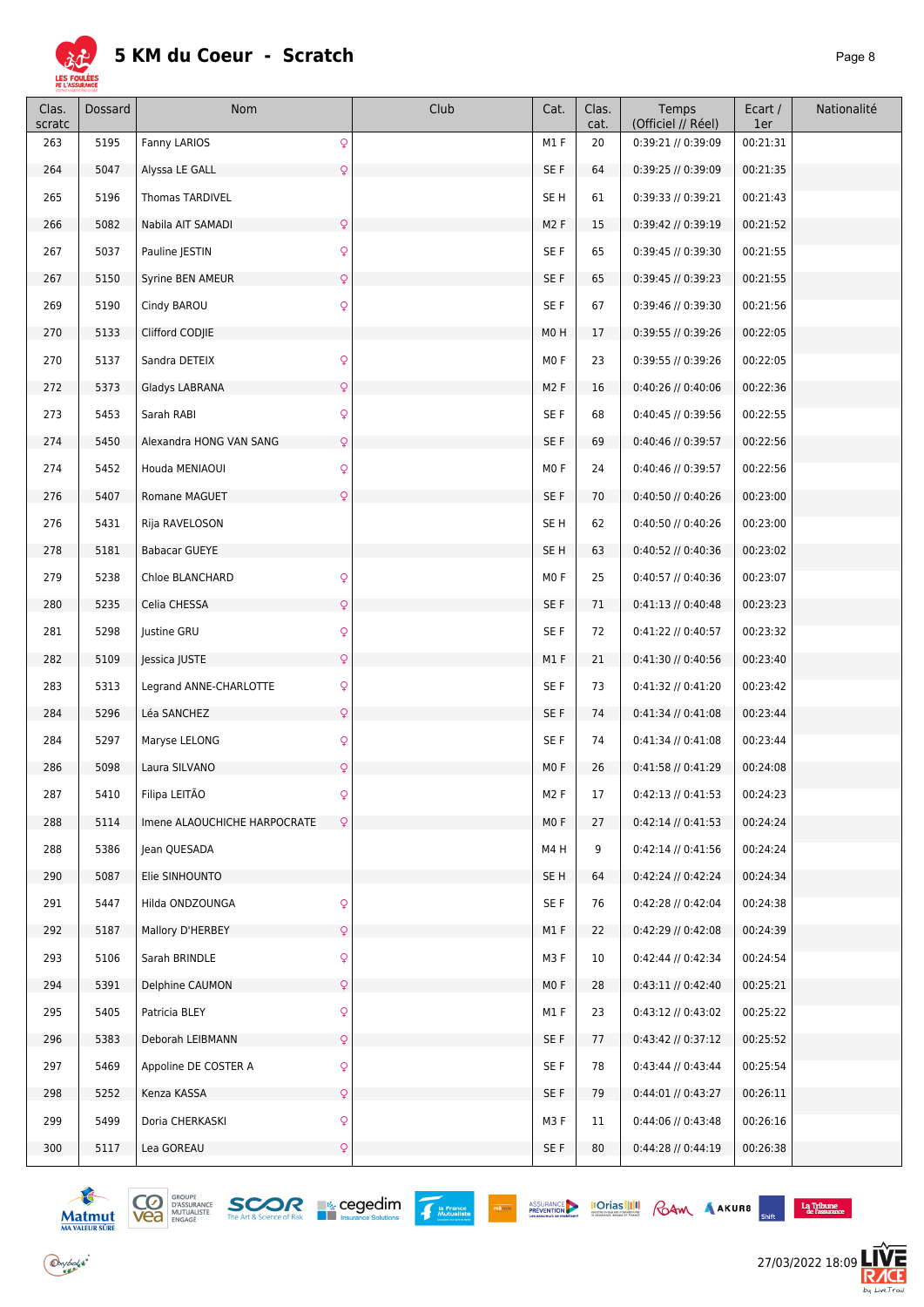

| Clas.<br>scratc | Dossard | Nom                          |                | Club | Cat.             | Clas.<br>cat. | Temps<br>(Officiel // Réel) | Ecart /<br>1er | Nationalité |
|-----------------|---------|------------------------------|----------------|------|------------------|---------------|-----------------------------|----------------|-------------|
| 263             | 5195    | Fanny LARIOS                 | Q              |      | M1F              | 20            | 0:39:21 // 0:39:09          | 00:21:31       |             |
| 264             | 5047    | Alyssa LE GALL               | $\overline{Q}$ |      | SE F             | 64            | 0:39:25 // 0:39:09          | 00:21:35       |             |
| 265             | 5196    | <b>Thomas TARDIVEL</b>       |                |      | SE <sub>H</sub>  | 61            | 0:39:33 // 0:39:21          | 00:21:43       |             |
| 266             | 5082    | Nabila AIT SAMADI            | Q              |      | M2F              | 15            | 0:39:42 // 0:39:19          | 00:21:52       |             |
| 267             | 5037    | Pauline JESTIN               | $\mathsf{Q}$   |      | SE F             | 65            | 0:39:45 // 0:39:30          | 00:21:55       |             |
| 267             | 5150    | Syrine BEN AMEUR             | Q              |      | SE F             | 65            | $0:39:45$ // $0:39:23$      | 00:21:55       |             |
| 269             | 5190    | Cindy BAROU                  | $\mathsf{Q}$   |      | SE F             | 67            | 0:39:46 // 0:39:30          | 00:21:56       |             |
| 270             | 5133    | Clifford CODJIE              |                |      | M0H              | 17            | 0:39:55 // 0:39:26          | 00:22:05       |             |
| 270             | 5137    | Sandra DETEIX                | Q              |      | MO F             | 23            | 0:39:55 // 0:39:26          | 00:22:05       |             |
| 272             | 5373    | Gladys LABRANA               | Q              |      | M2F              | 16            | 0:40:26 // 0:40:06          | 00:22:36       |             |
| 273             | 5453    | Sarah RABI                   | $\mathsf{Q}$   |      | SE F             | 68            | 0:40:45 // 0:39:56          | 00:22:55       |             |
| 274             | 5450    | Alexandra HONG VAN SANG      | $\mathsf{Q}$   |      | SE F             | 69            | 0:40:46 // 0:39:57          | 00:22:56       |             |
| 274             | 5452    | Houda MENIAOUI               | Q              |      | MO F             | 24            | 0:40:46 // 0:39:57          | 00:22:56       |             |
| 276             | 5407    | Romane MAGUET                | $\mathsf{Q}$   |      | SE F             | 70            | 0:40:50 // 0:40:26          | 00:23:00       |             |
| 276             | 5431    | Rija RAVELOSON               |                |      | SE H             | 62            | 0:40:50 // 0:40:26          | 00:23:00       |             |
| 278             | 5181    | <b>Babacar GUEYE</b>         |                |      | SE <sub>H</sub>  | 63            | 0:40:52 // 0:40:36          | 00:23:02       |             |
| 279             | 5238    | Chloe BLANCHARD              | Q              |      | MO F             | 25            | 0:40:57 // 0:40:36          | 00:23:07       |             |
| 280             | 5235    | Celia CHESSA                 | Q              |      | SE F             | 71            | $0:41:13$ // $0:40:48$      | 00:23:23       |             |
| 281             | 5298    | Justine GRU                  | Q              |      | SE F             | 72            | 0:41:22 // 0:40:57          | 00:23:32       |             |
| 282             | 5109    | Jessica JUSTE                | Q              |      | M1F              | 21            | 0:41:30 // 0:40:56          | 00:23:40       |             |
| 283             | 5313    | Legrand ANNE-CHARLOTTE       | Q              |      | SE F             | 73            | 0:41:32 // 0:41:20          | 00:23:42       |             |
| 284             | 5296    | Léa SANCHEZ                  | Q              |      | SE F             | 74            | $0:41:34$ // $0:41:08$      | 00:23:44       |             |
| 284             | 5297    | Maryse LELONG                | Q              |      | SE F             | 74            | $0:41:34$ // $0:41:08$      | 00:23:44       |             |
| 286             | 5098    | Laura SILVANO                | Q              |      | MO F             | 26            | 0:41:58 // 0:41:29          | 00:24:08       |             |
| 287             | 5410    | Filipa LEITÃO                | Q              |      | M <sub>2</sub> F | 17            | 0:42:13 // 0:41:53          | 00:24:23       |             |
| 288             | 5114    | Imene ALAOUCHICHE HARPOCRATE | $\mathsf{Q}$   |      | MO F             | 27            | $0:42:14$ // $0:41:53$      | 00:24:24       |             |
| 288             | 5386    | Jean QUESADA                 |                |      | M4H              | 9             | $0:42:14$ // $0:41:56$      | 00:24:24       |             |
| 290             | 5087    | Elie SINHOUNTO               |                |      | SE H             | 64            | 0:42:24 // 0:42:24          | 00:24:34       |             |
| 291             | 5447    | Hilda ONDZOUNGA              | Q              |      | SE F             | 76            | 0:42:28 // 0:42:04          | 00:24:38       |             |
| 292             | 5187    | Mallory D'HERBEY             | Q              |      | M1 F             | 22            | 0:42:29 // 0:42:08          | 00:24:39       |             |
| 293             | 5106    | Sarah BRINDLE                | Q              |      | M3 F             | 10            | 0:42:44 // 0:42:34          | 00:24:54       |             |
| 294             | 5391    | Delphine CAUMON              | Q              |      | MO F             | 28            | 0:43:11 // 0:42:40          | 00:25:21       |             |
| 295             | 5405    | Patricia BLEY                | Q              |      | M1 F             | 23            | $0:43:12$ // $0:43:02$      | 00:25:22       |             |
| 296             | 5383    | Deborah LEIBMANN             | Q              |      | SE F             | 77            | 0:43:42 // 0:37:12          | 00:25:52       |             |
| 297             | 5469    | Appoline DE COSTER A         | Q              |      | SE F             | 78            | $0:43:44$ // $0:43:44$      | 00:25:54       |             |
| 298             | 5252    | Kenza KASSA                  | Q              |      | SE F             | 79            | 0:44:01 // 0:43:27          | 00:26:11       |             |
| 299             | 5499    | Doria CHERKASKI              | Q              |      | M3F              | 11            | 0:44:06 // 0:43:48          | 00:26:16       |             |
| 300             | 5117    | Lea GOREAU                   | Q              |      | SE F             | 80            | 0:44:28 // 0:44:19          | 00:26:38       |             |



 $\bigodot$  y bolsk<sup>\*</sup>